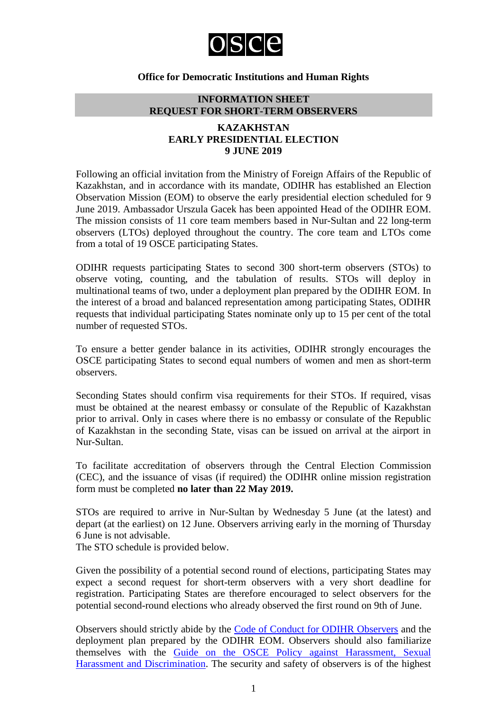

## **Office for Democratic Institutions and Human Rights**

# **INFORMATION SHEET REQUEST FOR SHORT-TERM OBSERVERS**

## **KAZAKHSTAN EARLY PRESIDENTIAL ELECTION 9 JUNE 2019**

Following an official invitation from the Ministry of Foreign Affairs of the Republic of Kazakhstan, and in accordance with its mandate, ODIHR has established an Election Observation Mission (EOM) to observe the early presidential election scheduled for 9 June 2019. Ambassador Urszula Gacek has been appointed Head of the ODIHR EOM. The mission consists of 11 core team members based in Nur-Sultan and 22 long-term observers (LTOs) deployed throughout the country. The core team and LTOs come from a total of 19 OSCE participating States.

ODIHR requests participating States to second 300 short-term observers (STOs) to observe voting, counting, and the tabulation of results. STOs will deploy in multinational teams of two, under a deployment plan prepared by the ODIHR EOM. In the interest of a broad and balanced representation among participating States, ODIHR requests that individual participating States nominate only up to 15 per cent of the total number of requested STOs.

To ensure a better gender balance in its activities, ODIHR strongly encourages the OSCE participating States to second equal numbers of women and men as short-term observers.

Seconding States should confirm visa requirements for their STOs. If required, visas must be obtained at the nearest embassy or consulate of the Republic of Kazakhstan prior to arrival. Only in cases where there is no embassy or consulate of the Republic of Kazakhstan in the seconding State, visas can be issued on arrival at the airport in Nur-Sultan.

To facilitate accreditation of observers through the Central Election Commission (CEC), and the issuance of visas (if required) the ODIHR online mission registration form must be completed **no later than 22 May 2019.**

STOs are required to arrive in Nur-Sultan by Wednesday 5 June (at the latest) and depart (at the earliest) on 12 June. Observers arriving early in the morning of Thursday 6 June is not advisable.

The STO schedule is provided below.

Given the possibility of a potential second round of elections, participating States may expect a second request for short-term observers with a very short deadline for registration. Participating States are therefore encouraged to select observers for the potential second-round elections who already observed the first round on 9th of June.

Observers should strictly abide by the [Code of Conduct for ODIHR Observers](http://www.osce.org/odihr/elections/322891) and the deployment plan prepared by the ODIHR EOM. Observers should also familiarize themselves with the [Guide on the OSCE Policy against Harassment, Sexual](http://www.osce.org/gender/30604)  [Harassment and Discrimination.](http://www.osce.org/gender/30604) The security and safety of observers is of the highest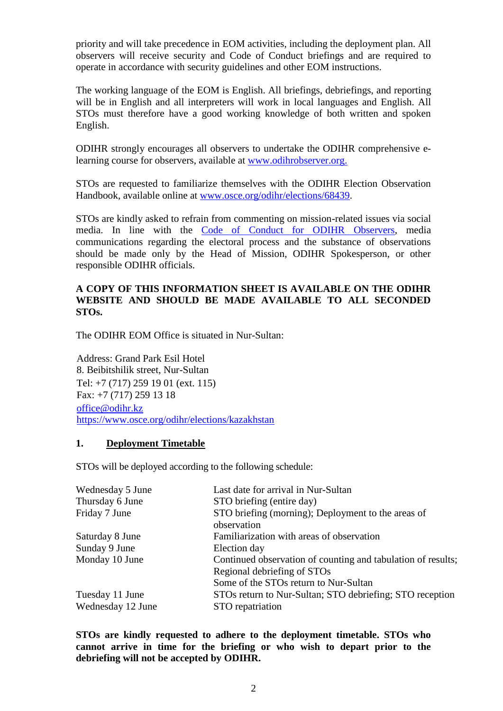priority and will take precedence in EOM activities, including the deployment plan. All observers will receive security and Code of Conduct briefings and are required to operate in accordance with security guidelines and other EOM instructions.

The working language of the EOM is English. All briefings, debriefings, and reporting will be in English and all interpreters will work in local languages and English. All STOs must therefore have a good working knowledge of both written and spoken English.

ODIHR strongly encourages all observers to undertake the ODIHR comprehensive elearning course for observers, available at [www.odihrobserver.org.](http://www.odihrobserver.org/)

STOs are requested to familiarize themselves with the ODIHR Election Observation Handbook, available online at [www.osce.org/odihr/elections/68439.](http://www.osce.org/odihr/elections/68439)

STOs are kindly asked to refrain from commenting on mission-related issues via social media. In line with the [Code of Conduct for ODIHR Observers,](http://www.osce.org/odihr/elections/322891) media communications regarding the electoral process and the substance of observations should be made only by the Head of Mission, ODIHR Spokesperson, or other responsible ODIHR officials.

# **A COPY OF THIS INFORMATION SHEET IS AVAILABLE ON THE ODIHR WEBSITE AND SHOULD BE MADE AVAILABLE TO ALL SECONDED STOs.**

The ODIHR EOM Office is situated in Nur-Sultan:

Address: Grand Park Esil Hotel 8. Beibitshilik street, Nur-Sultan Tel: +7 (717) 259 19 01 (ext. 115) Fax: +7 (717) 259 13 18 [office@odihr.kz](mailto:office@odihr.kz) <https://www.osce.org/odihr/elections/kazakhstan>

## **1. Deployment Timetable**

STOs will be deployed according to the following schedule:

| Last date for arrival in Nur-Sultan                                                                                                  |
|--------------------------------------------------------------------------------------------------------------------------------------|
| STO briefing (entire day)                                                                                                            |
| STO briefing (morning); Deployment to the areas of<br>observation                                                                    |
| Familiarization with areas of observation                                                                                            |
| Election day                                                                                                                         |
| Continued observation of counting and tabulation of results;<br>Regional debriefing of STOs<br>Some of the STOs return to Nur-Sultan |
| STOs return to Nur-Sultan; STO debriefing; STO reception                                                                             |
| STO repatriation                                                                                                                     |
|                                                                                                                                      |

**STOs are kindly requested to adhere to the deployment timetable. STOs who cannot arrive in time for the briefing or who wish to depart prior to the debriefing will not be accepted by ODIHR.**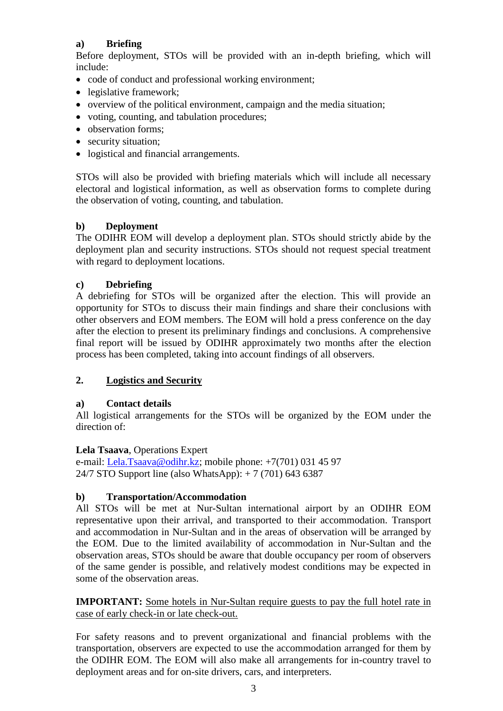# **a) Briefing**

Before deployment, STOs will be provided with an in-depth briefing, which will include:

- code of conduct and professional working environment;
- legislative framework:
- overview of the political environment, campaign and the media situation;
- voting, counting, and tabulation procedures;
- observation forms;
- security situation;
- logistical and financial arrangements.

STOs will also be provided with briefing materials which will include all necessary electoral and logistical information, as well as observation forms to complete during the observation of voting, counting, and tabulation.

# **b) Deployment**

The ODIHR EOM will develop a deployment plan. STOs should strictly abide by the deployment plan and security instructions. STOs should not request special treatment with regard to deployment locations.

# **c) Debriefing**

A debriefing for STOs will be organized after the election. This will provide an opportunity for STOs to discuss their main findings and share their conclusions with other observers and EOM members. The EOM will hold a press conference on the day after the election to present its preliminary findings and conclusions. A comprehensive final report will be issued by ODIHR approximately two months after the election process has been completed, taking into account findings of all observers.

# **2. Logistics and Security**

# **a) Contact details**

All logistical arrangements for the STOs will be organized by the EOM under the direction of:

# **Lela Tsaava**, Operations Expert

e-mail: [Lela.Tsaava@odihr.kz;](mailto:Lela.Tsaava@odihr.kz) mobile phone: +7(701) 031 45 97 24/7 STO Support line (also WhatsApp): + 7 (701) 643 6387

# **b) Transportation/Accommodation**

All STOs will be met at Nur-Sultan international airport by an ODIHR EOM representative upon their arrival, and transported to their accommodation. Transport and accommodation in Nur-Sultan and in the areas of observation will be arranged by the EOM. Due to the limited availability of accommodation in Nur-Sultan and the observation areas, STOs should be aware that double occupancy per room of observers of the same gender is possible, and relatively modest conditions may be expected in some of the observation areas.

**IMPORTANT:** Some hotels in Nur-Sultan require guests to pay the full hotel rate in case of early check-in or late check-out.

For safety reasons and to prevent organizational and financial problems with the transportation, observers are expected to use the accommodation arranged for them by the ODIHR EOM. The EOM will also make all arrangements for in-country travel to deployment areas and for on-site drivers, cars, and interpreters.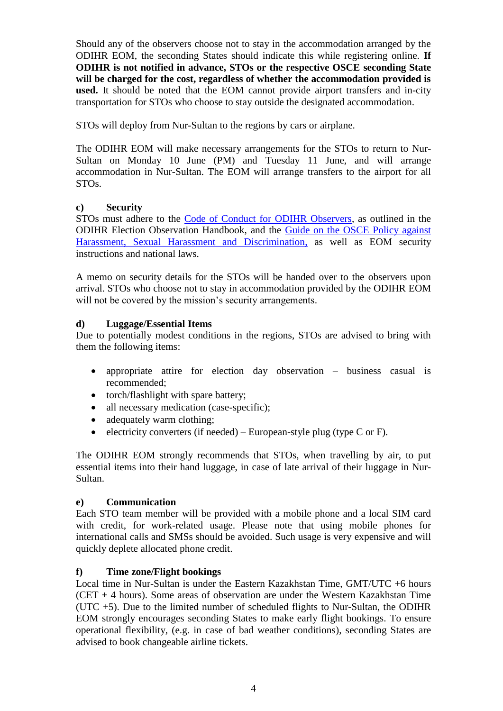Should any of the observers choose not to stay in the accommodation arranged by the ODIHR EOM, the seconding States should indicate this while registering online. **If ODIHR is not notified in advance, STOs or the respective OSCE seconding State will be charged for the cost, regardless of whether the accommodation provided is used.** It should be noted that the EOM cannot provide airport transfers and in-city transportation for STOs who choose to stay outside the designated accommodation.

STOs will deploy from Nur-Sultan to the regions by cars or airplane.

The ODIHR EOM will make necessary arrangements for the STOs to return to Nur-Sultan on Monday 10 June (PM) and Tuesday 11 June, and will arrange accommodation in Nur-Sultan. The EOM will arrange transfers to the airport for all STOs.

# **c) Security**

STOs must adhere to the [Code of Conduct for ODIHR Observers,](http://www.osce.org/odihr/elections/322891) as outlined in the ODIHR Election Observation Handbook, and the [Guide on the OSCE Policy against](http://www.osce.org/gender/30604)  [Harassment, Sexual Harassment and Discrimination,](http://www.osce.org/gender/30604) as well as EOM security instructions and national laws.

A memo on security details for the STOs will be handed over to the observers upon arrival. STOs who choose not to stay in accommodation provided by the ODIHR EOM will not be covered by the mission's security arrangements.

# **d) Luggage/Essential Items**

Due to potentially modest conditions in the regions, STOs are advised to bring with them the following items:

- appropriate attire for election day observation business casual is recommended;
- torch/flashlight with spare battery;
- all necessary medication (case-specific);
- adequately warm clothing;
- electricity converters (if needed) European-style plug (type C or F).

The ODIHR EOM strongly recommends that STOs, when travelling by air, to put essential items into their hand luggage, in case of late arrival of their luggage in Nur-Sultan.

# **e) Communication**

Each STO team member will be provided with a mobile phone and a local SIM card with credit, for work-related usage. Please note that using mobile phones for international calls and SMSs should be avoided. Such usage is very expensive and will quickly deplete allocated phone credit.

# **f) Time zone/Flight bookings**

Local time in Nur-Sultan is under the Eastern Kazakhstan Time, GMT/UTC +6 hours (CET  $+$  4 hours). Some areas of observation are under the Western Kazakhstan Time (UTC +5). Due to the limited number of scheduled flights to Nur-Sultan, the ODIHR EOM strongly encourages seconding States to make early flight bookings. To ensure operational flexibility, (e.g. in case of bad weather conditions), seconding States are advised to book changeable airline tickets.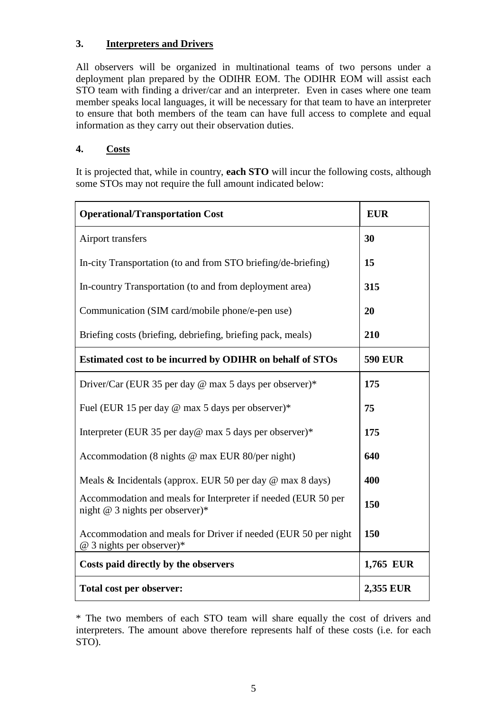# **3. Interpreters and Drivers**

All observers will be organized in multinational teams of two persons under a deployment plan prepared by the ODIHR EOM. The ODIHR EOM will assist each STO team with finding a driver/car and an interpreter. Even in cases where one team member speaks local languages, it will be necessary for that team to have an interpreter to ensure that both members of the team can have full access to complete and equal information as they carry out their observation duties.

# **4. Costs**

It is projected that, while in country, **each STO** will incur the following costs, although some STOs may not require the full amount indicated below:

| <b>Operational/Transportation Cost</b>                                                             | <b>EUR</b>     |
|----------------------------------------------------------------------------------------------------|----------------|
| Airport transfers                                                                                  | 30             |
| In-city Transportation (to and from STO briefing/de-briefing)                                      | 15             |
| In-country Transportation (to and from deployment area)                                            | 315            |
| Communication (SIM card/mobile phone/e-pen use)                                                    | 20             |
| Briefing costs (briefing, debriefing, briefing pack, meals)                                        | 210            |
| Estimated cost to be incurred by ODIHR on behalf of STOs                                           | <b>590 EUR</b> |
| Driver/Car (EUR 35 per day @ max 5 days per observer)*                                             | 175            |
| Fuel (EUR 15 per day @ max 5 days per observer)*                                                   | 75             |
| Interpreter (EUR 35 per day@ max 5 days per observer)*                                             | 175            |
| Accommodation (8 nights @ max EUR 80/per night)                                                    | 640            |
| Meals & Incidentals (approx. EUR 50 per day $\omega$ max 8 days)                                   | 400            |
| Accommodation and meals for Interpreter if needed (EUR 50 per<br>night $@$ 3 nights per observer)* | 150            |
| Accommodation and meals for Driver if needed (EUR 50 per night<br>@ 3 nights per observer)*        | 150            |
| Costs paid directly by the observers                                                               | 1,765 EUR      |
| Total cost per observer:                                                                           | 2,355 EUR      |

\* The two members of each STO team will share equally the cost of drivers and interpreters. The amount above therefore represents half of these costs (i.e. for each STO).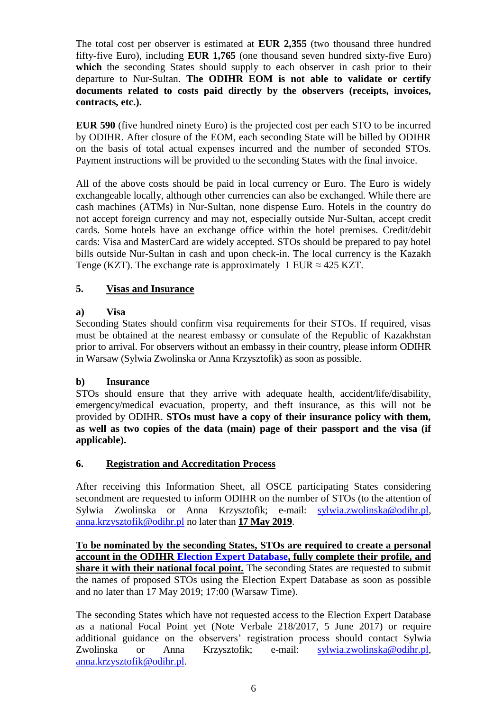The total cost per observer is estimated at **EUR 2,355** (two thousand three hundred fifty-five Euro), including **EUR 1,765** (one thousand seven hundred sixty-five Euro) which the seconding States should supply to each observer in cash prior to their departure to Nur-Sultan. **The ODIHR EOM is not able to validate or certify documents related to costs paid directly by the observers (receipts, invoices, contracts, etc.).**

**EUR 590** (five hundred ninety Euro) is the projected cost per each STO to be incurred by ODIHR. After closure of the EOM, each seconding State will be billed by ODIHR on the basis of total actual expenses incurred and the number of seconded STOs. Payment instructions will be provided to the seconding States with the final invoice.

All of the above costs should be paid in local currency or Euro. The Euro is widely exchangeable locally, although other currencies can also be exchanged. While there are cash machines (ATMs) in Nur-Sultan, none dispense Euro. Hotels in the country do not accept foreign currency and may not, especially outside Nur-Sultan, accept credit cards. Some hotels have an exchange office within the hotel premises. Credit/debit cards: Visa and MasterCard are widely accepted. STOs should be prepared to pay hotel bills outside Nur-Sultan in cash and upon check-in. The local currency is the Kazakh Tenge (KZT). The exchange rate is approximately 1 EUR  $\approx$  425 KZT.

# **5. Visas and Insurance**

## **a) Visa**

Seconding States should confirm visa requirements for their STOs. If required, visas must be obtained at the nearest embassy or consulate of the Republic of Kazakhstan prior to arrival. For observers without an embassy in their country, please inform ODIHR in Warsaw (Sylwia Zwolinska or Anna Krzysztofik) as soon as possible.

# **b) Insurance**

STOs should ensure that they arrive with adequate health, accident/life/disability, emergency/medical evacuation, property, and theft insurance, as this will not be provided by ODIHR. **STOs must have a copy of their insurance policy with them, as well as two copies of the data (main) page of their passport and the visa (if applicable).**

# **6. Registration and Accreditation Process**

After receiving this Information Sheet, all OSCE participating States considering secondment are requested to inform ODIHR on the number of STOs (to the attention of Sylwia Zwolinska or Anna Krzysztofik; e-mail: [sylwia.zwolinska@odihr.pl,](mailto:sylwia.zwolinska@odihr.pl) [anna.krzysztofik@odihr.pl](mailto:anna.krzysztofik@odihr.pl) no later than **17 May 2019**.

**To be nominated by the seconding States, STOs are required to create a personal account in the ODIHR [Election Expert Database,](http://electionexpert.odihr.pl/) fully complete their profile, and share it with their national focal point.** The seconding States are requested to submit the names of proposed STOs using the Election Expert Database as soon as possible and no later than 17 May 2019; 17:00 (Warsaw Time).

The seconding States which have not requested access to the Election Expert Database as a national Focal Point yet (Note Verbale 218/2017, 5 June 2017) or require additional guidance on the observers' registration process should contact Sylwia Zwolinska or Anna Krzysztofik; e-mail: [sylwia.zwolinska@odihr.pl,](mailto:sylwia.zwolinska@odihr.pl) [anna.krzysztofik@odihr.pl.](mailto:anna.krzysztofik@odihr.pl)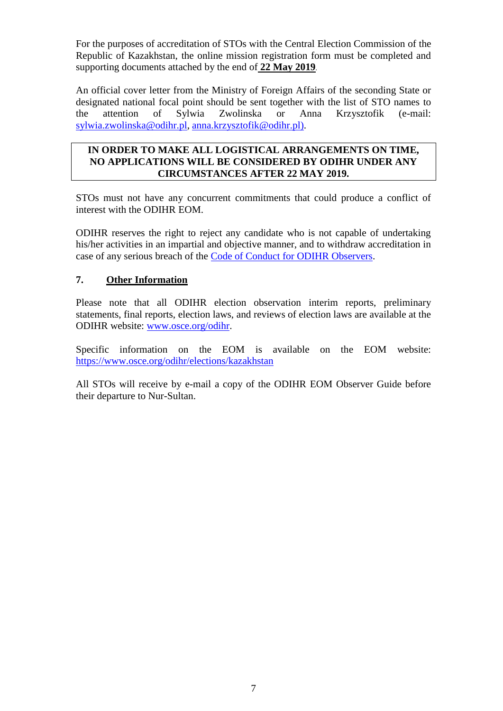For the purposes of accreditation of STOs with the Central Election Commission of the Republic of Kazakhstan, the online mission registration form must be completed and supporting documents attached by the end of **22 May 2019**.

An official cover letter from the Ministry of Foreign Affairs of the seconding State or designated national focal point should be sent together with the list of STO names to the attention of Sylwia Zwolinska or Anna Krzysztofik (e-mail: [sylwia.zwolinska@odihr.pl,](mailto:sylwia.zwolinska@odihr.pl) [anna.krzysztofik@odihr.pl\)](mailto:anna.krzysztofik@odihr.pl).

## **IN ORDER TO MAKE ALL LOGISTICAL ARRANGEMENTS ON TIME, NO APPLICATIONS WILL BE CONSIDERED BY ODIHR UNDER ANY CIRCUMSTANCES AFTER 22 MAY 2019.**

STOs must not have any concurrent commitments that could produce a conflict of interest with the ODIHR EOM.

ODIHR reserves the right to reject any candidate who is not capable of undertaking his/her activities in an impartial and objective manner, and to withdraw accreditation in case of any serious breach of the [Code of Conduct for ODIHR Observers.](http://www.osce.org/odihr/elections/322891)

# **7. Other Information**

Please note that all ODIHR election observation interim reports, preliminary statements, final reports, election laws, and reviews of election laws are available at the ODIHR website: [www.osce.org/odihr.](http://www.osce.org/odihr)

Specific information on the EOM is available on the EOM website: <https://www.osce.org/odihr/elections/kazakhstan>

All STOs will receive by e-mail a copy of the ODIHR EOM Observer Guide before their departure to Nur-Sultan.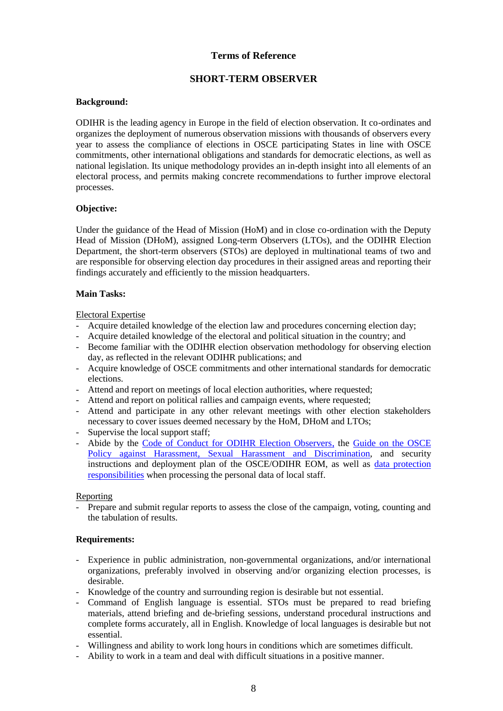## **Terms of Reference**

## **SHORT-TERM OBSERVER**

### **Background:**

ODIHR is the leading agency in Europe in the field of election observation. It co-ordinates and organizes the deployment of numerous observation missions with thousands of observers every year to assess the compliance of elections in OSCE participating States in line with OSCE commitments, other international obligations and standards for democratic elections, as well as national legislation. Its unique methodology provides an in-depth insight into all elements of an electoral process, and permits making concrete recommendations to further improve electoral processes.

### **Objective:**

Under the guidance of the Head of Mission (HoM) and in close co-ordination with the Deputy Head of Mission (DHoM), assigned Long-term Observers (LTOs), and the ODIHR Election Department, the short-term observers (STOs) are deployed in multinational teams of two and are responsible for observing election day procedures in their assigned areas and reporting their findings accurately and efficiently to the mission headquarters.

### **Main Tasks:**

Electoral Expertise

- Acquire detailed knowledge of the election law and procedures concerning election day;
- Acquire detailed knowledge of the electoral and political situation in the country; and
- Become familiar with the ODIHR election observation methodology for observing election day, as reflected in the relevant ODIHR publications; and
- Acquire knowledge of OSCE commitments and other international standards for democratic elections.
- Attend and report on meetings of local election authorities, where requested;
- Attend and report on political rallies and campaign events, where requested;
- Attend and participate in any other relevant meetings with other election stakeholders necessary to cover issues deemed necessary by the HoM, DHoM and LTOs;
- Supervise the local support staff;
- Abide by the [Code of Conduct for ODIHR Election Observers,](http://www.osce.org/odihr/elections/322891?download=true) the [Guide on the OSCE](http://www.osce.org/gender/30604)  [Policy against Harassment, Sexual Harassment and Discrimination,](http://www.osce.org/gender/30604) and security instructions and deployment plan of the OSCE/ODIHR EOM, as well as [data protection](http://www.osce.org/odihr/324441?download=true)  [responsibilities](http://www.osce.org/odihr/324441?download=true) when processing the personal data of local staff.

#### Reporting

- Prepare and submit regular reports to assess the close of the campaign, voting, counting and the tabulation of results.

## **Requirements:**

- Experience in public administration, non-governmental organizations, and/or international organizations, preferably involved in observing and/or organizing election processes, is desirable.
- Knowledge of the country and surrounding region is desirable but not essential.
- Command of English language is essential. STOs must be prepared to read briefing materials, attend briefing and de-briefing sessions, understand procedural instructions and complete forms accurately, all in English. Knowledge of local languages is desirable but not essential.
- Willingness and ability to work long hours in conditions which are sometimes difficult.
- Ability to work in a team and deal with difficult situations in a positive manner.